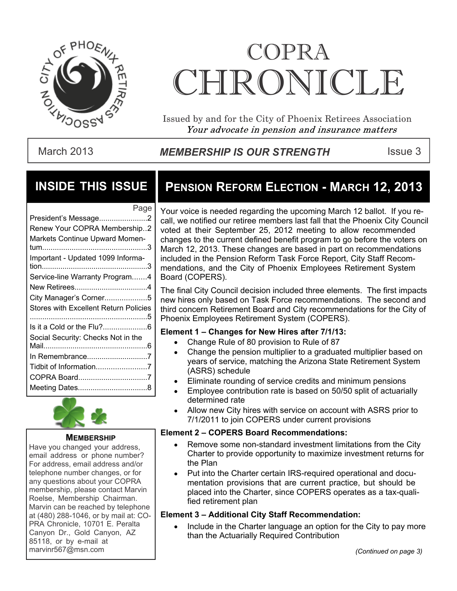

# COPRA CHRONICI.F.

Issued by and for the City of Phoenix Retirees Association Your advocate in pension and insurance matters

### March 2013 **MEMBERSHIP IS OUR STRENGTH** ISSue 3

### **INSIDE THIS ISSUE**

| Page                                  |
|---------------------------------------|
| President's Message2                  |
| Renew Your COPRA Membership2          |
| Markets Continue Upward Momen-        |
|                                       |
| Important - Updated 1099 Informa-     |
| Service-line Warranty Program4        |
|                                       |
| City Manager's Corner5                |
| Stores with Excellent Return Policies |
|                                       |
| Social Security: Checks Not in the    |
|                                       |
| In Remembrance7                       |
| Tidbit of Information7                |
| COPRA Board7                          |
|                                       |



#### **MEMBERSHIP**

Have you changed your address, email address or phone number? For address, email address and/or telephone number changes, or for any questions about your COPRA membership, please contact Marvin Roelse, Membership Chairman. Marvin can be reached by telephone at (480) 288-1046, or by mail at: CO-PRA Chronicle, 10701 E. Peralta Canyon Dr., Gold Canyon, AZ 85118, or by e-mail at marvinr567@msn.com *(Continued on page 3)*

# **PENSION REFORM ELECTION - MARCH 12, 2013**

Your voice is needed regarding the upcoming March 12 ballot. If you recall, we notified our retiree members last fall that the Phoenix City Council voted at their September 25, 2012 meeting to allow recommended changes to the current defined benefit program to go before the voters on March 12, 2013. These changes are based in part on recommendations included in the Pension Reform Task Force Report, City Staff Recommendations, and the City of Phoenix Employees Retirement System Board (COPERS).

The final City Council decision included three elements. The first impacts new hires only based on Task Force recommendations. The second and third concern Retirement Board and City recommendations for the City of Phoenix Employees Retirement System (COPERS).

#### **Element 1 – Changes for New Hires after 7/1/13:**

- Change Rule of 80 provision to Rule of 87
- Change the pension multiplier to a graduated multiplier based on years of service, matching the Arizona State Retirement System (ASRS) schedule
- Eliminate rounding of service credits and minimum pensions
- Employee contribution rate is based on 50/50 split of actuarially determined rate
- Allow new City hires with service on account with ASRS prior to 7/1/2011 to join COPERS under current provisions

#### **Element 2 – COPERS Board Recommendations:**

- Remove some non-standard investment limitations from the City Charter to provide opportunity to maximize investment returns for the Plan
- Put into the Charter certain IRS-required operational and documentation provisions that are current practice, but should be placed into the Charter, since COPERS operates as a tax-qualified retirement plan

#### **Element 3 – Additional City Staff Recommendation:**

Include in the Charter language an option for the City to pay more than the Actuarially Required Contribution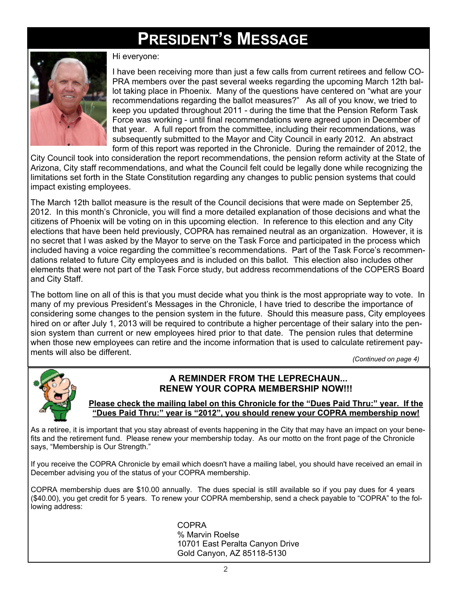# **PRESIDENT'S MESSAGE**



Hi everyone:

I have been receiving more than just a few calls from current retirees and fellow CO-PRA members over the past several weeks regarding the upcoming March 12th ballot taking place in Phoenix. Many of the questions have centered on "what are your recommendations regarding the ballot measures?" As all of you know, we tried to keep you updated throughout 2011 - during the time that the Pension Reform Task Force was working - until final recommendations were agreed upon in December of that year. A full report from the committee, including their recommendations, was subsequently submitted to the Mayor and City Council in early 2012. An abstract form of this report was reported in the Chronicle. During the remainder of 2012, the

City Council took into consideration the report recommendations, the pension reform activity at the State of Arizona, City staff recommendations, and what the Council felt could be legally done while recognizing the limitations set forth in the State Constitution regarding any changes to public pension systems that could impact existing employees.

The March 12th ballot measure is the result of the Council decisions that were made on September 25, 2012. In this month's Chronicle, you will find a more detailed explanation of those decisions and what the citizens of Phoenix will be voting on in this upcoming election. In reference to this election and any City elections that have been held previously, COPRA has remained neutral as an organization. However, it is no secret that I was asked by the Mayor to serve on the Task Force and participated in the process which included having a voice regarding the committee's recommendations. Part of the Task Force's recommendations related to future City employees and is included on this ballot. This election also includes other elements that were not part of the Task Force study, but address recommendations of the COPERS Board and City Staff.

The bottom line on all of this is that you must decide what you think is the most appropriate way to vote. In many of my previous President's Messages in the Chronicle, I have tried to describe the importance of considering some changes to the pension system in the future. Should this measure pass, City employees hired on or after July 1, 2013 will be required to contribute a higher percentage of their salary into the pension system than current or new employees hired prior to that date. The pension rules that determine when those new employees can retire and the income information that is used to calculate retirement payments will also be different.

*(Continued on page 4)*



#### **A REMINDER FROM THE LEPRECHAUN... RENEW YOUR COPRA MEMBERSHIP NOW!!!**

**Please check the mailing label on this Chronicle for the "Dues Paid Thru:" year. If the "Dues Paid Thru:" year is "2012", you should renew your COPRA membership now!**

As a retiree, it is important that you stay abreast of events happening in the City that may have an impact on your benefits and the retirement fund. Please renew your membership today. As our motto on the front page of the Chronicle says, "Membership is Our Strength."

If you receive the COPRA Chronicle by email which doesn't have a mailing label, you should have received an email in December advising you of the status of your COPRA membership.

COPRA membership dues are \$10.00 annually. The dues special is still available so if you pay dues for 4 years (\$40.00), you get credit for 5 years. To renew your COPRA membership, send a check payable to "COPRA" to the following address:

> COPRA % Marvin Roelse 10701 East Peralta Canyon Drive Gold Canyon, AZ 85118-5130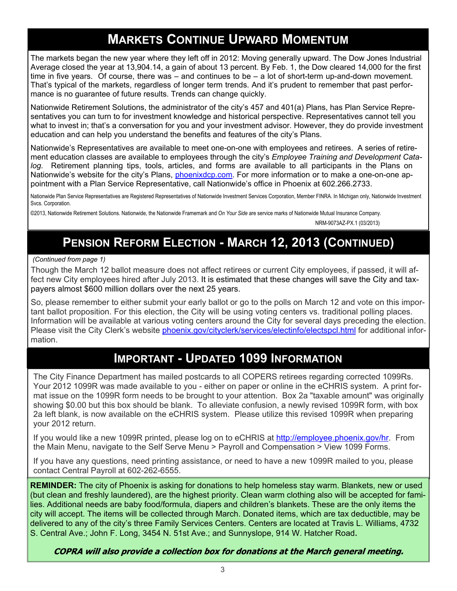# **MARKETS CONTINUE UPWARD MOMENTUM**

The markets began the new year where they left off in 2012: Moving generally upward. The Dow Jones Industrial Average closed the year at 13,904.14, a gain of about 13 percent. By Feb. 1, the Dow cleared 14,000 for the first time in five years. Of course, there was – and continues to be – a lot of short-term up-and-down movement. That's typical of the markets, regardless of longer term trends. And it's prudent to remember that past performance is no guarantee of future results. Trends can change quickly.

Nationwide Retirement Solutions, the administrator of the city's 457 and 401(a) Plans, has Plan Service Representatives you can turn to for investment knowledge and historical perspective. Representatives cannot tell you what to invest in; that's a conversation for you and your investment advisor. However, they do provide investment education and can help you understand the benefits and features of the city's Plans.

Nationwide's Representatives are available to meet one-on-one with employees and retirees. A series of retirement education classes are available to employees through the city's *Employee Training and Development Catalog.* Retirement planning tips, tools, articles, and forms are available to all participants in the Plans on Nationwide's website for the city's Plans, [phoenixdcp.com](http://phoenixdcp.com). For more information or to make a one-on-one appointment with a Plan Service Representative, call Nationwide's office in Phoenix at 602.266.2733.

Nationwide Plan Service Representatives are Registered Representatives of Nationwide Investment Services Corporation, Member FINRA. In Michigan only, Nationwide Investment Svcs. Corporation.

©2013, Nationwide Retirement Solutions. Nationwide, the Nationwide Framemark and *On Your Side* are service marks of Nationwide Mutual Insurance Company.

NRM-9073AZ-PX.1 (03/2013)

# **PENSION REFORM ELECTION - MARCH 12, 2013 (CONTINUED)**

 *(Continued from page 1)*

Though the March 12 ballot measure does not affect retirees or current City employees, if passed, it will affect new City employees hired after July 2013. It is estimated that these changes will save the City and taxpayers almost \$600 million dollars over the next 25 years.

So, please remember to either submit your early ballot or go to the polls on March 12 and vote on this important ballot proposition. For this election, the City will be using voting centers vs. traditional polling places. Information will be available at various voting centers around the City for several days preceding the election. Please visit the City Clerk's website [phoenix.gov/cityclerk/services/electinfo/electspcl.html](http://phoenix.gov/cityclerk/services/electinfo/electspcl.html) for additional information.

### **IMPORTANT - UPDATED 1099 INFORMATION**

The City Finance Department has mailed postcards to all COPERS retirees regarding corrected 1099Rs. Your 2012 1099R was made available to you - either on paper or online in the eCHRIS system. A print format issue on the 1099R form needs to be brought to your attention. Box 2a "taxable amount" was originally showing \$0.00 but this box should be blank. To alleviate confusion, a newly revised 1099R form, with box 2a left blank, is now available on the eCHRIS system. Please utilize this revised 1099R when preparing your 2012 return.

If you would like a new 1099R printed, please log on to eCHRIS at [http://employee.phoenix.gov/hr.](http://employee.phoenix.gov/hr) From the Main Menu, navigate to the Self Serve Menu > Payroll and Compensation > View 1099 Forms.

If you have any questions, need printing assistance, or need to have a new 1099R mailed to you, please contact Central Payroll at 602-262-6555.

**REMINDER:** The city of Phoenix is asking for donations to help homeless stay warm. Blankets, new or used (but clean and freshly laundered), are the highest priority. Clean warm clothing also will be accepted for families. Additional needs are baby food/formula, diapers and children's blankets. These are the only items the city will accept. The items will be collected through March. Donated items, which are tax deductible, may be delivered to any of the city's three Family Services Centers. Centers are located at Travis L. Williams, 4732 S. Central Ave.; John F. Long, 3454 N. 51st Ave.; and Sunnyslope, 914 W. Hatcher Road.

COPRA will also provide a collection box for donations at the March general meeting.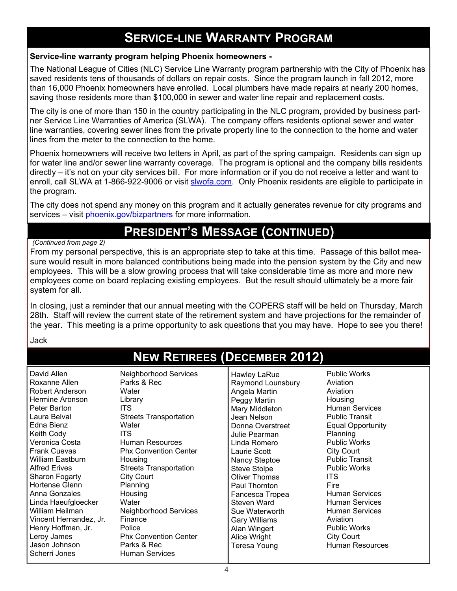# **SERVICE-LINE WARRANTY PROGRAM**

#### **Service-line warranty program helping Phoenix homeowners -**

The National League of Cities (NLC) Service Line Warranty program partnership with the City of Phoenix has saved residents tens of thousands of dollars on repair costs. Since the program launch in fall 2012, more than 16,000 Phoenix homeowners have enrolled. Local plumbers have made repairs at nearly 200 homes, saving those residents more than \$100,000 in sewer and water line repair and replacement costs.

The city is one of more than 150 in the country participating in the NLC program, provided by business partner Service Line Warranties of America (SLWA). The company offers residents optional sewer and water line warranties, covering sewer lines from the private property line to the connection to the home and water lines from the meter to the connection to the home.

Phoenix homeowners will receive two letters in April, as part of the spring campaign. Residents can sign up for water line and/or sewer line warranty coverage. The program is optional and the company bills residents directly – it's not on your city services bill. For more information or if you do not receive a letter and want to enroll, call SLWA at 1-866-922-9006 or visit [slwofa.com.](http://slwofa.com) Only Phoenix residents are eligible to participate in the program.

The city does not spend any money on this program and it actually generates revenue for city programs and services – visit [phoenix.gov/bizpartners](http://phoenix.gov/bizpartners) for more information.

# **PRESIDENT'S MESSAGE (CONTINUED)**

#### *(Continued from page 2)*

From my personal perspective, this is an appropriate step to take at this time. Passage of this ballot measure would result in more balanced contributions being made into the pension system by the City and new employees. This will be a slow growing process that will take considerable time as more and more new employees come on board replacing existing employees. But the result should ultimately be a more fair system for all.

In closing, just a reminder that our annual meeting with the COPERS staff will be held on Thursday, March 28th. Staff will review the current state of the retirement system and have projections for the remainder of the year. This meeting is a prime opportunity to ask questions that you may have. Hope to see you there!

Jack

# **NEW RETIREES (DECEMBER 2012)**

| David Allen<br>Neighborhood Services<br>Parks & Rec<br>Roxanne Allen<br>Robert Anderson<br>Water<br>Hermine Aronson<br>Library<br>ITS.<br>Peter Barton<br>Laura Belval<br><b>Streets Transportation</b><br>Edna Bienz<br>Water<br>Keith Cody<br><b>ITS</b><br>Veronica Costa<br>Human Resources<br><b>Frank Cuevas</b><br><b>Phx Convention Center</b><br><b>William Eastburn</b><br>Housing<br><b>Alfred Erives</b><br><b>Streets Transportation</b><br>City Court<br>Sharon Fogarty<br>Hortense Glenn<br>Planning<br>Anna Gonzales<br>Housing<br>Linda Haeufgloecker<br>Water<br>William Heilman<br><b>Neighborhood Services</b><br>Finance<br>Vincent Hernandez, Jr.<br>Henry Hoffman, Jr.<br>Police<br>Leroy James<br><b>Phx Convention Center</b><br>Jason Johnson<br>Parks & Rec<br><b>Human Services</b><br>Scherri Jones | Hawley LaRue<br>Raymond Lounsbury<br>Angela Martin<br>Peggy Martin<br>Mary Middleton<br>Jean Nelson<br>Donna Overstreet<br>Julie Pearman<br>Linda Romero<br>Laurie Scott<br>Nancy Steptoe<br><b>Steve Stolpe</b><br>Oliver Thomas<br>Paul Thornton<br>Fancesca Tropea<br>Steven Ward<br>Sue Waterworth<br>Gary Williams<br>Alan Wingert<br>Alice Wright<br>Teresa Young | <b>Public Works</b><br>Aviation<br>Aviation<br>Housing<br><b>Human Services</b><br><b>Public Transit</b><br><b>Equal Opportunity</b><br>Planning<br><b>Public Works</b><br><b>City Court</b><br><b>Public Transit</b><br><b>Public Works</b><br><b>ITS</b><br>Fire<br><b>Human Services</b><br><b>Human Services</b><br><b>Human Services</b><br>Aviation<br><b>Public Works</b><br><b>City Court</b><br>Human Resources |
|----------------------------------------------------------------------------------------------------------------------------------------------------------------------------------------------------------------------------------------------------------------------------------------------------------------------------------------------------------------------------------------------------------------------------------------------------------------------------------------------------------------------------------------------------------------------------------------------------------------------------------------------------------------------------------------------------------------------------------------------------------------------------------------------------------------------------------|-------------------------------------------------------------------------------------------------------------------------------------------------------------------------------------------------------------------------------------------------------------------------------------------------------------------------------------------------------------------------|--------------------------------------------------------------------------------------------------------------------------------------------------------------------------------------------------------------------------------------------------------------------------------------------------------------------------------------------------------------------------------------------------------------------------|
|----------------------------------------------------------------------------------------------------------------------------------------------------------------------------------------------------------------------------------------------------------------------------------------------------------------------------------------------------------------------------------------------------------------------------------------------------------------------------------------------------------------------------------------------------------------------------------------------------------------------------------------------------------------------------------------------------------------------------------------------------------------------------------------------------------------------------------|-------------------------------------------------------------------------------------------------------------------------------------------------------------------------------------------------------------------------------------------------------------------------------------------------------------------------------------------------------------------------|--------------------------------------------------------------------------------------------------------------------------------------------------------------------------------------------------------------------------------------------------------------------------------------------------------------------------------------------------------------------------------------------------------------------------|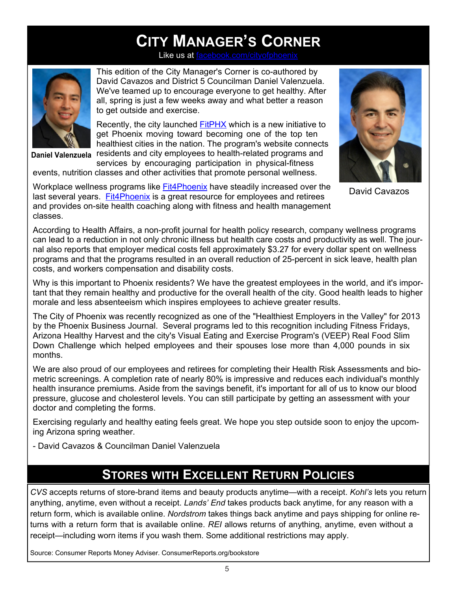# **CITY MANAGER'S CORNER**

Like us at  $f$ 



**Daniel Valenzuela**

This edition of the City Manager's Corner is co-authored by David Cavazos and District 5 Councilman Daniel Valenzuela. We've teamed up to encourage everyone to get healthy. After all, spring is just a few weeks away and what better a reason to get outside and exercise.

Recently, the city launched **[FitPHX](http://phoenix.gov/residents/fitphx/index.html)** which is a new initiative to get Phoenix moving toward becoming one of the top ten healthiest cities in the nation. The program's website connects residents and city employees to health-related programs and

services by encouraging participation in physical-fitness events, nutrition classes and other activities that promote personal wellness.

Workplace wellness programs like [Fit4Phoenix](http://employee.phoenix.gov/hr/fit4phoenix/index.html) have steadily increased over the last several years. [Fit4Phoenix](http://employee.phoenix.gov/hr/fit4phoenix/index.html) is a great resource for employees and retirees and provides on-site health coaching along with fitness and health management classes.



David Cavazos

According to Health Affairs, a non-profit journal for health policy research, company wellness programs can lead to a reduction in not only chronic illness but health care costs and productivity as well. The journal also reports that employer medical costs fell approximately \$3.27 for every dollar spent on wellness programs and that the programs resulted in an overall reduction of 25-percent in sick leave, health plan costs, and workers compensation and disability costs.

Why is this important to Phoenix residents? We have the greatest employees in the world, and it's important that they remain healthy and productive for the overall health of the city. Good health leads to higher morale and less absenteeism which inspires employees to achieve greater results.

The City of Phoenix was recently recognized as one of the "Healthiest Employers in the Valley" for 2013 by the Phoenix Business Journal. Several programs led to this recognition including Fitness Fridays, Arizona Healthy Harvest and the city's Visual Eating and Exercise Program's (VEEP) Real Food Slim Down Challenge which helped employees and their spouses lose more than 4,000 pounds in six months.

We are also proud of our employees and retirees for completing their Health Risk Assessments and biometric screenings. A completion rate of nearly 80% is impressive and reduces each individual's monthly health insurance premiums. Aside from the savings benefit, it's important for all of us to know our blood pressure, glucose and cholesterol levels. You can still participate by getting an assessment with your doctor and completing the forms.

Exercising regularly and healthy eating feels great. We hope you step outside soon to enjoy the upcoming Arizona spring weather.

- David Cavazos & Councilman Daniel Valenzuela

# **STORES WITH EXCELLENT RETURN POLICIES**

*CVS* accepts returns of store-brand items and beauty products anytime—with a receipt. *Kohl's* lets you return anything, anytime, even without a receipt. *Lands' End* takes products back anytime, for any reason with a return form, which is available online. *Nordstrom* takes things back anytime and pays shipping for online returns with a return form that is available online. *REI* allows returns of anything, anytime, even without a receipt—including worn items if you wash them. Some additional restrictions may apply.

Source: Consumer Reports Money Adviser. ConsumerReports.org/bookstore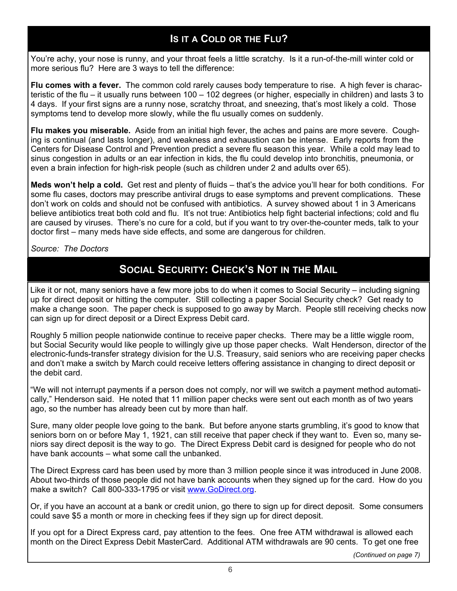### **IS IT A COLD OR THE FLU?**

You're achy, your nose is runny, and your throat feels a little scratchy. Is it a run-of-the-mill winter cold or more serious flu? Here are 3 ways to tell the difference:

**Flu comes with a fever.** The common cold rarely causes body temperature to rise. A high fever is characteristic of the flu – it usually runs between 100 – 102 degrees (or higher, especially in children) and lasts 3 to 4 days. If your first signs are a runny nose, scratchy throat, and sneezing, that's most likely a cold. Those symptoms tend to develop more slowly, while the flu usually comes on suddenly.

**Flu makes you miserable.** Aside from an initial high fever, the aches and pains are more severe. Coughing is continual (and lasts longer), and weakness and exhaustion can be intense. Early reports from the Centers for Disease Control and Prevention predict a severe flu season this year. While a cold may lead to sinus congestion in adults or an ear infection in kids, the flu could develop into bronchitis, pneumonia, or even a brain infection for high-risk people (such as children under 2 and adults over 65).

**Meds won't help a cold.** Get rest and plenty of fluids – that's the advice you'll hear for both conditions. For some flu cases, doctors may prescribe antiviral drugs to ease symptoms and prevent complications. These don't work on colds and should not be confused with antibiotics. A survey showed about 1 in 3 Americans believe antibiotics treat both cold and flu. It's not true: Antibiotics help fight bacterial infections; cold and flu are caused by viruses. There's no cure for a cold, but if you want to try over-the-counter meds, talk to your doctor first – many meds have side effects, and some are dangerous for children.

*Source: The Doctors*

### **SOCIAL SECURITY: CHECK'S NOT IN THE MAIL**

Like it or not, many seniors have a few more jobs to do when it comes to Social Security – including signing up for direct deposit or hitting the computer. Still collecting a paper Social Security check? Get ready to make a change soon. The paper check is supposed to go away by March. People still receiving checks now can sign up for direct deposit or a Direct Express Debit card.

Roughly 5 million people nationwide continue to receive paper checks. There may be a little wiggle room, but Social Security would like people to willingly give up those paper checks. Walt Henderson, director of the electronic-funds-transfer strategy division for the U.S. Treasury, said seniors who are receiving paper checks and don't make a switch by March could receive letters offering assistance in changing to direct deposit or the debit card.

"We will not interrupt payments if a person does not comply, nor will we switch a payment method automatically," Henderson said. He noted that 11 million paper checks were sent out each month as of two years ago, so the number has already been cut by more than half.

Sure, many older people love going to the bank. But before anyone starts grumbling, it's good to know that seniors born on or before May 1, 1921, can still receive that paper check if they want to. Even so, many seniors say direct deposit is the way to go. The Direct Express Debit card is designed for people who do not have bank accounts – what some call the unbanked.

The Direct Express card has been used by more than 3 million people since it was introduced in June 2008. About two-thirds of those people did not have bank accounts when they signed up for the card. How do you make a switch? Call 800-333-1795 or visit [www.GoDirect.org.](http://GoDirect.org)

Or, if you have an account at a bank or credit union, go there to sign up for direct deposit. Some consumers could save \$5 a month or more in checking fees if they sign up for direct deposit.

If you opt for a Direct Express card, pay attention to the fees. One free ATM withdrawal is allowed each month on the Direct Express Debit MasterCard. Additional ATM withdrawals are 90 cents. To get one free

*(Continued on page 7)*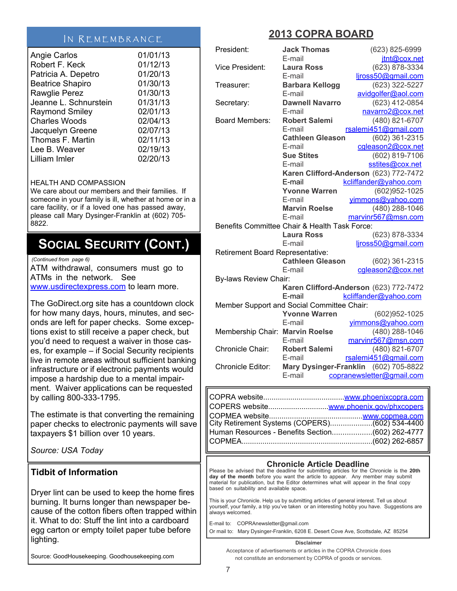#### IN REMEMBRANCE

| <b>Angie Carlos</b>     | 01/01/13 |
|-------------------------|----------|
| Robert F. Keck          | 01/12/13 |
| Patricia A. Depetro     | 01/20/13 |
| <b>Beatrice Shapiro</b> | 01/30/13 |
| Rawglie Perez           | 01/30/13 |
| Jeanne L. Schnurstein   | 01/31/13 |
| <b>Raymond Smiley</b>   | 02/01/13 |
| <b>Charles Woods</b>    | 02/04/13 |
| Jacquelyn Greene        | 02/07/13 |
| Thomas F. Martin        | 02/11/13 |
| Lee B. Weaver           | 02/19/13 |
| Lilliam Imler           | 02/20/13 |

#### HEALTH AND COMPASSION

We care about our members and their families. If someone in your family is ill, whether at home or in a care facility, or if a loved one has passed away, please call Mary Dysinger-Franklin at (602) 705- 8822.

# **SOCIAL SECURITY (CONT.)**

*(Continued from page 6)*

ATM withdrawal, consumers must go to ATMs in the network. See [www.usdirectexpress.com](http://www.usdirectexpress.com) to learn more.

The GoDirect.org site has a countdown clock for how many days, hours, minutes, and seconds are left for paper checks. Some exceptions exist to still receive a paper check, but you'd need to request a waiver in those cases, for example – if Social Security recipients live in remote areas without sufficient banking infrastructure or if electronic payments would impose a hardship due to a mental impairment. Waiver applications can be requested by calling 800-333-1795.

The estimate is that converting the remaining paper checks to electronic payments will save taxpayers \$1 billion over 10 years.

*Source: USA Today*

#### **Tidbit of Information**

Dryer lint can be used to keep the home fires burning. It burns longer than newspaper because of the cotton fibers often trapped within it. What to do: Stuff the lint into a cardboard egg carton or empty toilet paper tube before lighting.

Source: GoodHousekeeping. Goodhousekeeping.com

### **2013 COPRA BOARD**

| President:                       | <b>Jack Thomas</b><br>E-mail                  | (623) 825-6999<br>jtnt@cox.net         |  |  |  |
|----------------------------------|-----------------------------------------------|----------------------------------------|--|--|--|
| <b>Vice President:</b>           | <b>Laura Ross</b>                             | (623) 878-3334                         |  |  |  |
|                                  | E-mail                                        | ljross50@gmail.com                     |  |  |  |
| Treasurer:                       | <b>Barbara Kellogg</b>                        | (623) 322-5227                         |  |  |  |
|                                  | E-mail                                        | avidgolfer@aol.com                     |  |  |  |
| Secretary:                       | <b>Dawnell Navarro</b>                        | (623) 412-0854                         |  |  |  |
|                                  | E-mail                                        | navarro2@cox.net                       |  |  |  |
| <b>Board Members:</b>            | <b>Robert Salemi</b>                          | (480) 821-6707                         |  |  |  |
|                                  | E-mail                                        | rsalemi451@gmail.com                   |  |  |  |
|                                  | <b>Cathleen Gleason</b>                       | (602) 361-2315                         |  |  |  |
|                                  | E-mail                                        | cgleason2@cox.net                      |  |  |  |
|                                  | <b>Sue Stites</b>                             | (602) 819-7106                         |  |  |  |
|                                  | E-mail                                        | sstites@cox.net                        |  |  |  |
|                                  |                                               | Karen Clifford-Anderson (623) 772-7472 |  |  |  |
|                                  | E-mail                                        | kcliffander@yahoo.com                  |  |  |  |
|                                  | <b>Yvonne Warren</b>                          | (602)952-1025                          |  |  |  |
|                                  | E-mail                                        | yimmons@yahoo.com                      |  |  |  |
|                                  | <b>Marvin Roelse</b>                          | (480) 288-1046                         |  |  |  |
|                                  | E-mail                                        | marvinr567@msn.com                     |  |  |  |
|                                  | Benefits Committee Chair & Health Task Force: |                                        |  |  |  |
|                                  | <b>Laura Ross</b>                             | (623) 878-3334                         |  |  |  |
|                                  | E-mail                                        | liross50@gmail.com                     |  |  |  |
| Retirement Board Representative: |                                               |                                        |  |  |  |
|                                  | <b>Cathleen Gleason</b>                       | (602) 361-2315                         |  |  |  |
|                                  | E-mail                                        | cgleason2@cox.net                      |  |  |  |
| By-laws Review Chair:            |                                               |                                        |  |  |  |
|                                  |                                               | Karen Clifford-Anderson (623) 772-7472 |  |  |  |
|                                  | E-mail                                        | kcliffander@yahoo.com                  |  |  |  |
|                                  | Member Support and Social Committee Chair:    |                                        |  |  |  |
|                                  | <b>Yvonne Warren</b>                          | (602)952-1025                          |  |  |  |
|                                  | E-mail                                        | yimmons@yahoo.com                      |  |  |  |
| Membership Chair: Marvin Roelse  |                                               | (480) 288-1046                         |  |  |  |
|                                  | E-mail                                        | marvinr567@msn.com                     |  |  |  |
| Chronicle Chair:                 | <b>Robert Salemi</b>                          | (480) 821-6707                         |  |  |  |
|                                  | E-mail                                        | rsalemi451@gmail.com                   |  |  |  |
| Chronicle Editor:                | <b>Mary Dysinger-Franklin</b>                 | (602) 705-8822                         |  |  |  |
|                                  | E-mail                                        | copranewsletter@gmail.com              |  |  |  |
| $CODDA$ $which$                  |                                               | $uninu$ phone ivogen com               |  |  |  |

| Human Resources - Benefits Section(602) 262-4777 |  |
|--------------------------------------------------|--|
|                                                  |  |

#### **Chronicle Article Deadline**

Please be advised that the deadline for submitting articles for the Chronicle is the **20th day of the month** before you want the article to appear. Any member may submit material for publication, but the Editor determines what will appear in the final copy based on suitability and available space.

This is your Chronicle. Help us by submitting articles of general interest. Tell us about yourself, your family, a trip you've taken or an interesting hobby you have. Suggestions are always welcomed.

E-mail to: COPRAnewsletter@gmail.com Or mail to: Mary Dysinger-Franklin, 6208 E. Desert Cove Ave, Scottsdale, AZ 85254

#### **Disclaimer**

Acceptance of advertisements or articles in the COPRA Chronicle does not constitute an endorsement by COPRA of goods or services.